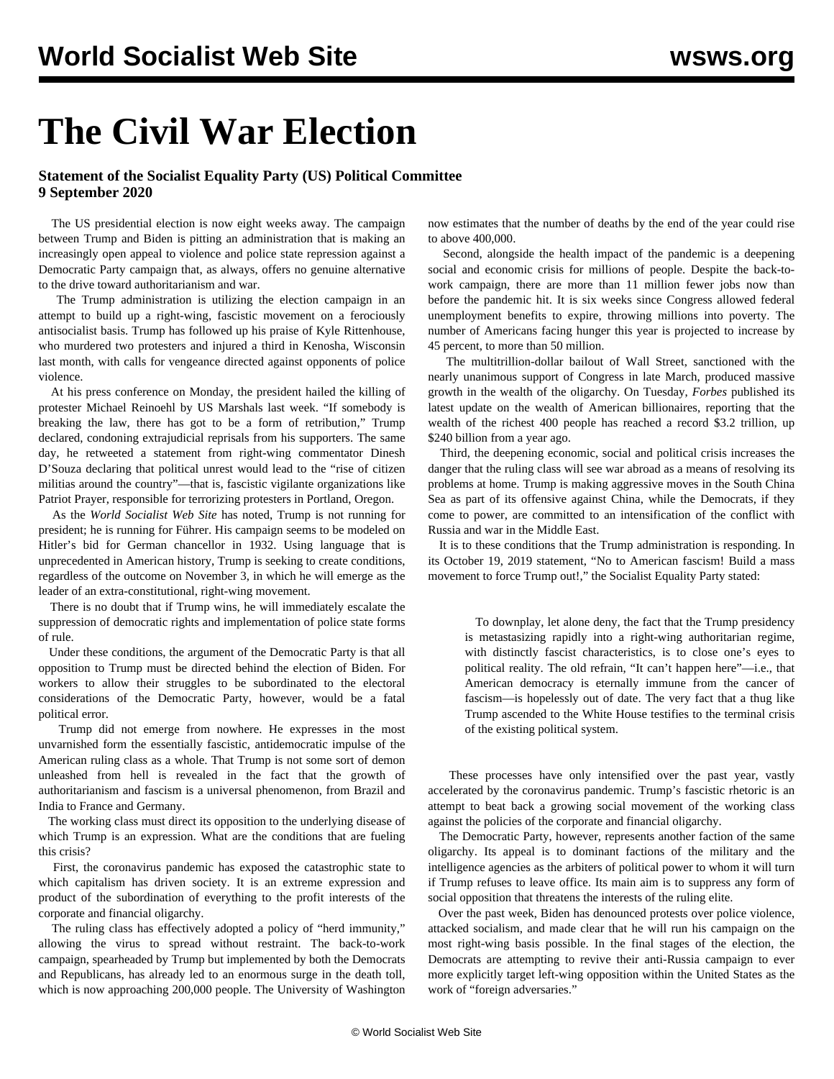## **The Civil War Election**

## **Statement of the Socialist Equality Party (US) Political Committee 9 September 2020**

 The US presidential election is now eight weeks away. The campaign between Trump and Biden is pitting an administration that is making an increasingly open appeal to violence and police state repression against a Democratic Party campaign that, as always, offers no genuine alternative to the drive toward authoritarianism and war.

 The Trump administration is utilizing the election campaign in an attempt to build up a right-wing, fascistic movement on a ferociously antisocialist basis. Trump has followed up his praise of Kyle Rittenhouse, who murdered two protesters and injured a third in Kenosha, Wisconsin last month, with calls for vengeance directed against opponents of police violence.

 At his press conference on Monday, the president hailed the killing of protester Michael Reinoehl by US Marshals last week. "If somebody is breaking the law, there has got to be a form of retribution," Trump declared, condoning extrajudicial reprisals from his supporters. The same day, he retweeted a statement from right-wing commentator Dinesh D'Souza declaring that political unrest would lead to the "rise of citizen militias around the country"—that is, fascistic vigilante organizations like Patriot Prayer, responsible for terrorizing protesters in Portland, Oregon.

 As the *World Socialist Web Site* has [noted](/en/articles/2020/08/28/rnct-a08.html), Trump is not running for president; he is running for Führer. His campaign seems to be modeled on Hitler's bid for German chancellor in 1932. Using language that is unprecedented in American history, Trump is seeking to create conditions, regardless of the outcome on November 3, in which he will emerge as the leader of an extra-constitutional, right-wing movement.

 There is no doubt that if Trump wins, he will immediately escalate the suppression of democratic rights and implementation of police state forms of rule.

 Under these conditions, the argument of the Democratic Party is that all opposition to Trump must be directed behind the election of Biden. For workers to allow their struggles to be subordinated to the electoral considerations of the Democratic Party, however, would be a fatal political error.

 Trump did not emerge from nowhere. He expresses in the most unvarnished form the essentially fascistic, antidemocratic impulse of the American ruling class as a whole. That Trump is not some sort of demon unleashed from hell is revealed in the fact that the growth of authoritarianism and fascism is a universal phenomenon, from Brazil and India to France and Germany.

 The working class must direct its opposition to the underlying disease of which Trump is an expression. What are the conditions that are fueling this crisis?

 First, the coronavirus pandemic has exposed the catastrophic state to which capitalism has driven society. It is an extreme expression and product of the subordination of everything to the profit interests of the corporate and financial oligarchy.

 The ruling class has effectively adopted a policy of "herd immunity," allowing the virus to spread without restraint. The back-to-work campaign, spearheaded by Trump but implemented by both the Democrats and Republicans, has already led to an enormous surge in the death toll, which is now approaching 200,000 people. The University of Washington

now estimates that the number of deaths by the end of the year could rise to above 400,000.

 Second, alongside the health impact of the pandemic is a deepening social and economic crisis for millions of people. Despite the back-towork campaign, there are more than 11 million fewer jobs now than before the pandemic hit. It is six weeks since Congress allowed federal unemployment benefits to expire, throwing millions into poverty. The number of Americans facing hunger this year is projected to increase by 45 percent, to more than 50 million.

 The multitrillion-dollar bailout of Wall Street, sanctioned with the nearly unanimous support of Congress in late March, produced massive growth in the wealth of the oligarchy. On Tuesday, *Forbes* published its latest update on the wealth of American billionaires, reporting that the wealth of the richest 400 people has reached a record \$3.2 trillion, up \$240 billion from a year ago.

 Third, the deepening economic, social and political crisis increases the danger that the ruling class will see war abroad as a means of resolving its problems at home. Trump is making aggressive moves in the South China Sea as part of its offensive against China, while the Democrats, if they come to power, are committed to an intensification of the conflict with Russia and war in the Middle East.

 It is to these conditions that the Trump administration is responding. In its October 19, 2019 statement, ["No to American fascism! Build a mass](/en/articles/2019/10/14/pers-o14.html) [movement to force Trump out!,](/en/articles/2019/10/14/pers-o14.html)" the Socialist Equality Party stated:

 To downplay, let alone deny, the fact that the Trump presidency is metastasizing rapidly into a right-wing authoritarian regime, with distinctly fascist characteristics, is to close one's eyes to political reality. The old refrain, "It can't happen here"—i.e., that American democracy is eternally immune from the cancer of fascism—is hopelessly out of date. The very fact that a thug like Trump ascended to the White House testifies to the terminal crisis of the existing political system.

 These processes have only intensified over the past year, vastly accelerated by the coronavirus pandemic. Trump's fascistic rhetoric is an attempt to beat back a growing social movement of the working class against the policies of the corporate and financial oligarchy.

 The Democratic Party, however, represents another faction of the same oligarchy. Its appeal is to dominant factions of the military and the intelligence agencies as the arbiters of political power to whom it will turn if Trump refuses to leave office. Its main aim is to suppress any form of social opposition that threatens the interests of the ruling elite.

 Over the past week, Biden has denounced protests over police violence, attacked socialism, and made clear that he will run his campaign on the most right-wing basis possible. In the final stages of the election, the Democrats are attempting to revive their anti-Russia campaign to ever more explicitly target left-wing opposition within the United States as the work of "foreign adversaries."